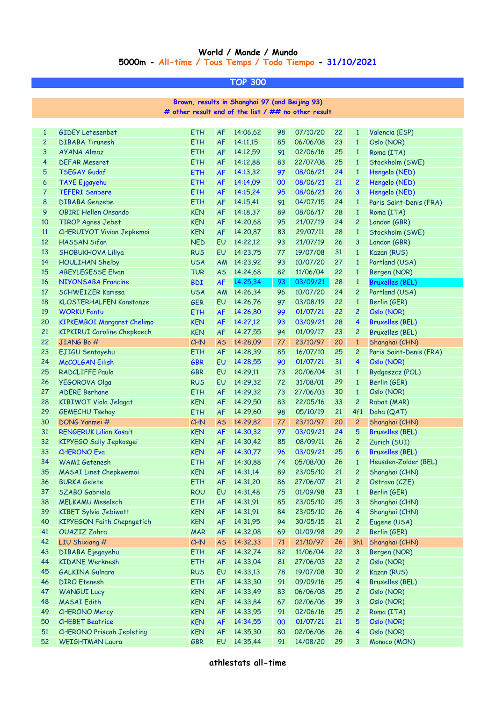## **World / Monde / Mundo 5000m - All-time / Tous Temps / Todo Tiempo - 31/10/2021**

**TOP 300**

**# other result end of the list / ## no other result Brown, results in Shanghai 97 (and Beijing 93)**

| $\mathbf{1}$   | <b>GIDEY Letesenbet</b>            | ETH        | <b>AF</b> | 14:06,62 | 98 | 07/10/20 | 22 | $\mathbf{1}$   | Valencia (ESP)          |
|----------------|------------------------------------|------------|-----------|----------|----|----------|----|----------------|-------------------------|
| $\overline{c}$ | <b>DIBABA Tirunesh</b>             | ETH        | AF        | 14:11,15 | 85 | 06/06/08 | 23 | $\mathbf{1}$   | Oslo (NOR)              |
| 3              | AYANA Almaz                        | <b>ETH</b> | <b>AF</b> | 14:12,59 | 91 | 02/06/16 | 25 | $\mathbf{1}$   | Roma (ITA)              |
| $\overline{4}$ | <b>DEFAR Meseret</b>               | <b>ETH</b> | <b>AF</b> | 14:12,88 | 83 | 22/07/08 | 25 | $\mathbf{1}$   | Stockholm (SWE)         |
| 5              | <b>TSEGAY Gudaf</b>                | <b>ETH</b> | <b>AF</b> | 14:13,32 | 97 | 08/06/21 | 24 | $\mathbf{1}$   | Hengelo (NED)           |
| 6              | <b>TAYE Ejgayehu</b>               | <b>ETH</b> | <b>AF</b> | 14:14,09 | 00 | 08/06/21 | 21 | $\overline{c}$ | Hengelo (NED)           |
| 7              | <b>TEFERI Senbere</b>              | <b>ETH</b> | <b>AF</b> | 14:15,24 | 95 | 08/06/21 | 26 | 3              | Hengelo (NED)           |
| 8              | <b>DIBABA Genzebe</b>              | <b>ETH</b> | <b>AF</b> | 14:15,41 | 91 | 04/07/15 | 24 | $\mathbf{1}$   | Paris Saint-Denis (FRA) |
| 9              | <b>OBIRI Hellen Onsando</b>        | <b>KEN</b> | <b>AF</b> | 14:18,37 | 89 | 08/06/17 | 28 | $\mathbf{1}$   | Roma (ITA)              |
| 10             | <b>TIROP Agnes Jebet</b>           | <b>KEN</b> | <b>AF</b> | 14:20,68 | 95 | 21/07/19 | 24 | $\overline{c}$ | London (GBR)            |
| 11             | <b>CHERUIYOT Vivian Jepkemoi</b>   | <b>KEN</b> | <b>AF</b> | 14:20,87 | 83 | 29/07/11 | 28 | $\mathbf{1}$   | Stockholm (SWE)         |
| 12             | <b>HASSAN Sifan</b>                | <b>NED</b> | EU        | 14:22,12 | 93 | 21/07/19 | 26 | 3              | London (GBR)            |
| 13             | SHOBUKHOVA Liliya                  | <b>RUS</b> | EU        | 14:23,75 | 77 | 19/07/08 | 31 | $\mathbf{1}$   | Kazan (RUS)             |
| 14             | <b>HOULIHAN Shelby</b>             | <b>USA</b> | AM        | 14:23,92 | 93 | 10/07/20 | 27 | $\mathbf{1}$   | Portland (USA)          |
| 15             | <b>ABEYLEGESSE Elvan</b>           | <b>TUR</b> | <b>AS</b> | 14:24,68 | 82 | 11/06/04 | 22 | $\mathbf{1}$   | Bergen (NOR)            |
| 16             | <b>NIYONSABA Francine</b>          | <b>BDI</b> | <b>AF</b> | 14:25,34 | 93 | 03/09/21 | 28 | $\mathbf{1}$   | <b>Bruxelles (BEL)</b>  |
| 17             | <b>SCHWEIZER Karissa</b>           | <b>USA</b> | AM        | 14:26,34 | 96 | 10/07/20 | 24 | $\overline{c}$ | Portland (USA)          |
| 18             | <b>KLOSTERHALFEN Konstanze</b>     | <b>GER</b> | EU        | 14:26,76 | 97 | 03/08/19 | 22 | $\mathbf{1}$   | Berlin (GER)            |
| 19             | <b>WORKU Fantu</b>                 | <b>ETH</b> | <b>AF</b> | 14:26,80 | 99 | 01/07/21 | 22 | $\overline{c}$ | Oslo (NOR)              |
| 20             | <b>KIPKEMBOI Margaret Chelimo</b>  | <b>KEN</b> | <b>AF</b> | 14:27,12 | 93 | 03/09/21 | 28 | 4              | <b>Bruxelles (BEL)</b>  |
| 21             | <b>KIPKIRUI Caroline Chepkoech</b> | <b>KEN</b> | <b>AF</b> | 14:27,55 | 94 | 01/09/17 | 23 | $\overline{c}$ | <b>Bruxelles (BEL)</b>  |
| 22             | JIANG Bo #                         | <b>CHN</b> | <b>AS</b> | 14:28,09 | 77 | 23/10/97 | 20 | $\mathbf{1}$   | Shanghai (CHN)          |
| 23             | EJIGU Sentayehu                    | <b>ETH</b> | <b>AF</b> | 14:28,39 | 85 | 16/07/10 | 25 | $\overline{c}$ | Paris Saint-Denis (FRA) |
| 24             | <b>McCOLGAN Eilish</b>             | <b>GBR</b> | EU        | 14:28,55 | 90 | 01/07/21 | 31 | 4              | Oslo (NOR)              |
| 25             | <b>RADCLIFFE Paula</b>             | <b>GBR</b> | EU        | 14:29,11 | 73 | 20/06/04 | 31 | $\mathbf{1}$   | Bydgoszcz (POL)         |
| 26             | YEGOROVA Olga                      | <b>RUS</b> | EU        | 14:29,32 | 72 | 31/08/01 | 29 | $\mathbf{1}$   | Berlin (GER)            |
| 27             | <b>ADERE Berhane</b>               | <b>ETH</b> | <b>AF</b> | 14:29,32 | 73 | 27/06/03 | 30 | $\mathbf{1}$   | Oslo (NOR)              |
| 28             | KIBIWOT Viola Jelagat              | <b>KEN</b> | <b>AF</b> | 14:29,50 | 83 | 22/05/16 | 33 | $\overline{c}$ | Rabat (MAR)             |
| 29             | <b>GEMECHU Tsehay</b>              | <b>ETH</b> | <b>AF</b> | 14:29,60 | 98 | 05/10/19 | 21 | 4f1            | Doha (QAT)              |
| 30             | DONG Yanmei #                      | <b>CHN</b> | <b>AS</b> | 14:29,82 | 77 | 23/10/97 | 20 | $\overline{c}$ | Shanghai (CHN)          |
| 31             | <b>RENGERUK Lilian Kasait</b>      | <b>KEN</b> | <b>AF</b> | 14:30,32 | 97 | 03/09/21 | 24 | 5              | <b>Bruxelles (BEL)</b>  |
| 32             | KIPYEGO Sally Jepkosgei            | <b>KEN</b> | <b>AF</b> | 14:30,42 | 85 | 08/09/11 | 26 | $\overline{c}$ | Zürich (SUI)            |
| 33             | <b>CHERONO Eva</b>                 | <b>KEN</b> | <b>AF</b> | 14:30,77 | 96 | 03/09/21 | 25 | 6              | <b>Bruxelles (BEL)</b>  |
| 34             | <b>WAMI</b> Getenesh               | <b>ETH</b> | <b>AF</b> | 14:30,88 | 74 | 05/08/00 | 26 | $\mathbf{1}$   | Heusden-Zolder (BEL)    |
| 35             | <b>MASAI Linet Chepkwemoi</b>      | <b>KEN</b> | <b>AF</b> | 14:31,14 | 89 | 23/05/10 | 21 | $\overline{c}$ | Shanghai (CHN)          |
| 36             | <b>BURKA Gelete</b>                | <b>ETH</b> | AF        | 14:31,20 | 86 | 27/06/07 | 21 | $\overline{c}$ | Ostrava (CZE)           |
| 37             | SZABO Gabriela                     | <b>ROU</b> | EU        | 14:31,48 | 75 | 01/09/98 | 23 | $\mathbf{1}$   | Berlin (GER)            |
| 38             | <b>MELKAMU Meselech</b>            | ETH        | <b>AF</b> | 14:31,91 | 85 | 23/05/10 | 25 | 3              | Shanghai (CHN)          |
| 39             | <b>KIBET Sylvia Jebiwott</b>       | <b>KEN</b> | AF        | 14:31,91 | 84 | 23/05/10 | 26 | 4              | Shanghai (CHN)          |
| 40             | KIPYEGON Faith Chepngetich         | <b>KEN</b> | AF        | 14:31,95 | 94 | 30/05/15 | 21 | $\overline{c}$ | Eugene (USA)            |
| 41             | <b>OUAZIZ Zahra</b>                | <b>MAR</b> | AF        | 14:32,08 | 69 | 01/09/98 | 29 | $\overline{c}$ | Berlin (GER)            |
| 42             | LIU Shixiang #                     | <b>CHN</b> | <b>AS</b> | 14:32,33 | 71 | 21/10/97 | 26 | 3h1            | Shanghai (CHN)          |
| 43             | DIBABA Ejegayehu                   | ETH        | AF        | 14:32,74 | 82 | 11/06/04 | 22 | 3              | Bergen (NOR)            |
| 44             | <b>KIDANE Werknesh</b>             | ETH        | AF        | 14:33,04 | 81 | 27/06/03 | 22 | $\overline{c}$ | Oslo (NOR)              |
| 45             | <b>GALKINA Gulnara</b>             | <b>RUS</b> | EU        | 14:33,13 | 78 | 19/07/08 | 30 | $\overline{c}$ | Kazan (RUS)             |
| 46             | <b>DIRO</b> Etenesh                | ETH        | AF        | 14:33,30 | 91 | 09/09/16 | 25 | 4              | <b>Bruxelles (BEL)</b>  |
| 47             | <b>WANGUI Lucy</b>                 | <b>KEN</b> | AF        | 14:33,49 | 83 | 06/06/08 | 25 | $\overline{c}$ | Oslo (NOR)              |
| 48             | <b>MASAI Edith</b>                 | <b>KEN</b> | AF        | 14:33,84 | 67 | 02/06/06 | 39 | 3              | Oslo (NOR)              |
| 49             | <b>CHERONO Mercy</b>               | <b>KEN</b> | AF        | 14:33,95 | 91 | 02/06/16 | 25 | $\overline{c}$ | Roma (ITA)              |
| 50             | <b>CHEBET Beatrice</b>             | <b>KEN</b> | <b>AF</b> | 14:34,55 | 00 | 01/07/21 | 21 | 5              | Oslo (NOR)              |
| 51             | <b>CHERONO Priscah Jepleting</b>   | <b>KEN</b> | AF        | 14:35,30 | 80 | 02/06/06 | 26 | 4              | Oslo (NOR)              |
| 52             | <b>WEIGHTMAN Laura</b>             | GBR        | EU        | 14:35,44 | 91 | 14/08/20 | 29 | 3              | Monaco (MON)            |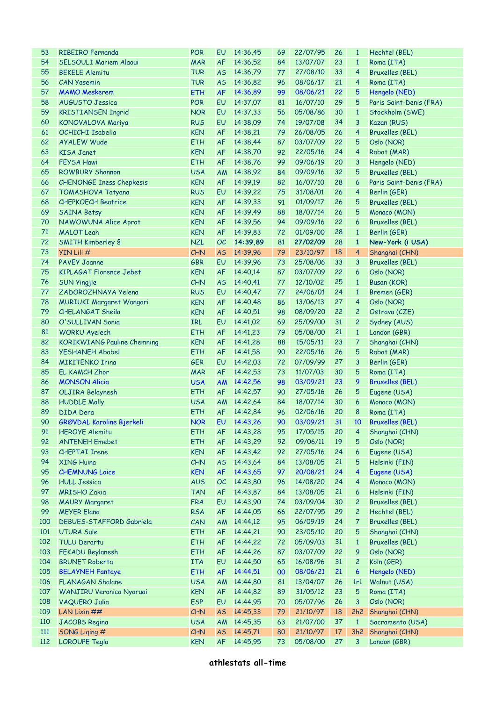| 53  | RIBEIRO Fernanda                   | <b>POR</b> | EU        | 14:36,45    | 69 | 22/07/95       | 26 | $\mathbf{1}$   | Hechtel (BEL)           |
|-----|------------------------------------|------------|-----------|-------------|----|----------------|----|----------------|-------------------------|
| 54  | <b>SELSOULI Mariem Alaoui</b>      | <b>MAR</b> | <b>AF</b> | 14:36,52    | 84 | 13/07/07       | 23 | $\mathbf{1}$   | Roma (ITA)              |
| 55  | <b>BEKELE Alemitu</b>              | <b>TUR</b> | <b>AS</b> | 14:36,79    | 77 | 27/08/10       | 33 | 4              | <b>Bruxelles (BEL)</b>  |
| 56  | <b>CAN Yasemin</b>                 | <b>TUR</b> | <b>AS</b> | 14:36,82    | 96 | 08/06/17       | 21 | 4              | Roma (ITA)              |
| 57  | <b>MAMO Meskerem</b>               | <b>ETH</b> | <b>AF</b> | 14:36,89    | 99 | 08/06/21       | 22 | 5              | Hengelo (NED)           |
| 58  | <b>AUGUSTO Jessica</b>             | <b>POR</b> | EU        | 14:37,07    | 81 | 16/07/10       | 29 | 5              | Paris Saint-Denis (FRA) |
| 59  | <b>KRISTIANSEN Ingrid</b>          | <b>NOR</b> | <b>EU</b> | 14:37,33    | 56 | 05/08/86       | 30 | $\mathbf{1}$   | Stockholm (SWE)         |
| 60  | KONOVALOVA Mariya                  | <b>RUS</b> | EU        | 14:38,09    | 74 | 19/07/08       | 34 | 3              | Kazan (RUS)             |
| 61  | OCHICHI Isabella                   | <b>KEN</b> | AF        | 14:38,21    | 79 | 26/08/05       | 26 | 4              | <b>Bruxelles (BEL)</b>  |
| 62  | <b>AYALEW Wude</b>                 | <b>ETH</b> | <b>AF</b> | 14:38,44    | 87 | 03/07/09       | 22 | 5              | Oslo (NOR)              |
|     |                                    |            |           |             |    |                |    |                |                         |
| 63  | <b>KISA Janet</b>                  | <b>KEN</b> | <b>AF</b> | 14:38,70    | 92 | 22/05/16       | 24 | 4              | Rabat (MAR)             |
| 64  | <b>FEYSA Hawi</b>                  | <b>ETH</b> | <b>AF</b> | 14:38,76    | 99 | 09/06/19       | 20 | 3              | Hengelo (NED)           |
| 65  | <b>ROWBURY Shannon</b>             | <b>USA</b> | AM        | 14:38,92    | 84 | 09/09/16       | 32 | 5              | <b>Bruxelles (BEL)</b>  |
| 66  | <b>CHENONGE Iness Chepkesis</b>    | <b>KEN</b> | <b>AF</b> | 14:39,19    | 82 | 16/07/10       | 28 | 6              | Paris Saint-Denis (FRA) |
| 67  | <b>TOMASHOVA Tatyana</b>           | <b>RUS</b> | <b>EU</b> | 14:39,22    | 75 | 31/08/01       | 26 | 4              | Berlin (GER)            |
| 68  | <b>CHEPKOECH Beatrice</b>          | <b>KEN</b> | AF        | 14:39,33    | 91 | 01/09/17       | 26 | 5              | <b>Bruxelles (BEL)</b>  |
| 69  | <b>SAINA Betsy</b>                 | <b>KEN</b> | <b>AF</b> | 14:39,49    | 88 | 18/07/14       | 26 | 5              | Monaco (MON)            |
| 70  | NAWOWUNA Alice Aprot               | <b>KEN</b> | <b>AF</b> | 14:39,56    | 94 | 09/09/16       | 22 | 6              | <b>Bruxelles (BEL)</b>  |
| 71  | <b>MALOT Leah</b>                  | <b>KEN</b> | <b>AF</b> | 14:39,83    | 72 | 01/09/00       | 28 | $\mathbf{1}$   | Berlin (GER)            |
| 72  | <b>SMITH Kimberley S</b>           | <b>NZL</b> | OC        | 14:39,89    | 81 | 27/02/09       | 28 | $\mathbf{1}$   | New-York (i USA)        |
| 73  | YIN Lili #                         | <b>CHN</b> | <b>AS</b> | 14:39,96    | 79 | 23/10/97       | 18 | 4              | Shanghai (CHN)          |
| 74  | <b>PAVEY Joanne</b>                | <b>GBR</b> | <b>EU</b> | 14:39,96    | 73 | 25/08/06       | 33 | 3              | <b>Bruxelles (BEL)</b>  |
| 75  | <b>KIPLAGAT Florence Jebet</b>     | <b>KEN</b> | AF        | 14:40,14    | 87 | 03/07/09       | 22 | 6              | Oslo (NOR)              |
| 76  | <b>SUN Yingjie</b>                 | CHN        | <b>AS</b> | 14:40,41    | 77 | 12/10/02       | 25 | $\mathbf{1}$   | Busan (KOR)             |
| 77  | ZADOROZHNAYA Yelena                | <b>RUS</b> | EU        | 14:40,47    | 77 | 24/06/01       | 24 | $\mathbf{1}$   | Bremen (GER)            |
| 78  | <b>MURIUKI Margaret Wangari</b>    | <b>KEN</b> | AF        | 14:40,48    | 86 | 13/06/13       | 27 | 4              | Oslo (NOR)              |
| 79  | <b>CHELANGAT Sheila</b>            | <b>KEN</b> | <b>AF</b> | 14:40,51    | 98 | 08/09/20       | 22 | $\overline{c}$ | Ostrava (CZE)           |
| 80  | O'SULLIVAN Sonia                   | IRL        | EU        | 14:41,02    | 69 | 25/09/00       | 31 | $\overline{c}$ | Sydney (AUS)            |
| 81  | <b>WORKU Ayelech</b>               | <b>ETH</b> | AF        | 14:41,23    | 79 | 05/08/00       | 21 | $\mathbf{1}$   | London (GBR)            |
| 82  | <b>KORIKWIANG Pauline Chemning</b> | <b>KEN</b> | AF        | 14:41,28    | 88 | 15/05/11       | 23 | 7              | Shanghai (CHN)          |
| 83  | <b>YESHANEH Ababel</b>             | <b>ETH</b> | AF        | 14:41,58    | 90 | 22/05/16       | 26 | 5              | Rabat (MAR)             |
| 84  | <b>MIKITENKO Irina</b>             | <b>GER</b> | EU        | 14:42,03    | 72 | 07/09/99       | 27 | 3              | Berlin (GER)            |
| 85  | <b>EL KAMCH Zhor</b>               | <b>MAR</b> | AF        | 14:42,53    | 73 | 11/07/03       | 30 | 5              | Roma (ITA)              |
| 86  | <b>MONSON Alicia</b>               | <b>USA</b> | <b>AM</b> | 14:42,56    | 98 | 03/09/21       | 23 | 9              | <b>Bruxelles (BEL)</b>  |
| 87  | OLJIRA Belaynesh                   | <b>ETH</b> | <b>AF</b> | 14:42,57    | 90 | 27/05/16       | 26 | 5              | Eugene (USA)            |
| 88  | <b>HUDDLE Molly</b>                | <b>USA</b> | <b>AM</b> |             | 84 | 18/07/14       | 30 | 6              | Monaco (MON)            |
|     |                                    |            |           | 14:42,64    |    |                | 20 |                |                         |
| 89  | DIDA Dera                          | <b>ETH</b> |           | AF 14:42,84 | 96 | 02/06/16       |    | 8              | Roma (ITA)              |
| 90  | GRØVDAL Karoline Bjerkeli          | <b>NOR</b> |           | EU 14:43,26 |    | 90 03/09/21 31 |    |                | 10 Bruxelles (BEL)      |
| 91  | <b>HEROYE Alemitu</b>              | <b>ETH</b> | AF        | 14:43,28    | 95 | 17/05/15       | 20 | 4              | Shanghai (CHN)          |
| 92  | <b>ANTENEH Emebet</b>              | <b>ETH</b> | AF        | 14:43,29    | 92 | 09/06/11       | 19 | 5              | Oslo (NOR)              |
| 93  | <b>CHEPTAI Irene</b>               | <b>KEN</b> | AF        | 14:43,42    | 92 | 27/05/16       | 24 | 6              | Eugene (USA)            |
| 94  | <b>XING Huina</b>                  | CHN        | <b>AS</b> | 14:43,64    | 84 | 13/08/05       | 21 | 5              | Helsinki (FIN)          |
| 95  | <b>CHEMNUNG Loice</b>              | <b>KEN</b> | <b>AF</b> | 14:43,65    | 97 | 20/08/21       | 24 | 4              | Eugene (USA)            |
| 96  | <b>HULL Jessica</b>                | <b>AUS</b> | OC        | 14:43,80    | 96 | 14/08/20       | 24 | 4              | Monaco (MON)            |
| 97  | <b>MRISHO Zakia</b>                | <b>TAN</b> | AF        | 14:43,87    | 84 | 13/08/05       | 21 | 6              | Helsinki (FIN)          |
| 98  | <b>MAURY Margaret</b>              | <b>FRA</b> | EU        | 14:43,90    | 74 | 03/09/04       | 30 | $\overline{c}$ | <b>Bruxelles (BEL)</b>  |
| 99  | <b>MEYER Elana</b>                 | <b>RSA</b> | AF        | 14:44,05    | 66 | 22/07/95       | 29 | $\overline{c}$ | Hechtel (BEL)           |
| 100 | DEBUES-STAFFORD Gabriela           | CAN        | <b>AM</b> | 14:44,12    | 95 | 06/09/19       | 24 | 7              | <b>Bruxelles (BEL)</b>  |
| 101 | <b>UTURA Sule</b>                  | <b>ETH</b> | AF        | 14:44,21    | 90 | 23/05/10       | 20 | 5              | Shanghai (CHN)          |
| 102 | <b>TULU Derartu</b>                | <b>ETH</b> | AF        | 14:44,22    | 72 | 05/09/03       | 31 | $\mathbf{1}$   | <b>Bruxelles (BEL)</b>  |
| 103 | FEKADU Beylanesh                   | <b>ETH</b> | AF        | 14:44,26    | 87 | 03/07/09       | 22 | 9              | Oslo (NOR)              |
| 104 | <b>BRUNET Roberta</b>              | ITA        | EU        | 14:44,50    | 65 | 16/08/96       | 31 | $\overline{c}$ | Köln (GER)              |
| 105 | <b>BELAYNEH Fantaye</b>            | <b>ETH</b> | AF        | 14:44,51    | 00 | 08/06/21       | 21 | 6              | Hengelo (NED)           |
| 106 | <b>FLANAGAN Shalane</b>            | <b>USA</b> | AM        | 14:44,80    | 81 | 13/04/07       | 26 | 1r1            | Walnut (USA)            |
| 107 | WANJIRU Veronica Nyaruai           | <b>KEN</b> | AF        | 14:44,82    | 89 | 31/05/12       | 23 | 5              | Roma (ITA)              |
| 108 | <b>VAQUERO Julia</b>               | <b>ESP</b> | EU        | 14:44,95    | 70 | 05/07/96       | 26 | 3              | Oslo (NOR)              |
| 109 | LAN Lixin ##                       | <b>CHN</b> | <b>AS</b> | 14:45,33    | 79 | 21/10/97       | 18 | 2h2            | Shanghai (CHN)          |
| 110 | <b>JACOBS Regina</b>               | <b>USA</b> | <b>AM</b> | 14:45,35    | 63 | 21/07/00       | 37 | $\mathbf{1}$   | Sacramento (USA)        |
| 111 | SONG Liqing #                      | CHN        | <b>AS</b> | 14:45,71    | 80 | 21/10/97       | 17 | 3h2            | Shanghai (CHN)          |
| 112 | <b>LOROUPE Tegla</b>               | <b>KEN</b> | <b>AF</b> | 14:45,95    | 73 | 05/08/00       | 27 | 3              | London (GBR)            |
|     |                                    |            |           |             |    |                |    |                |                         |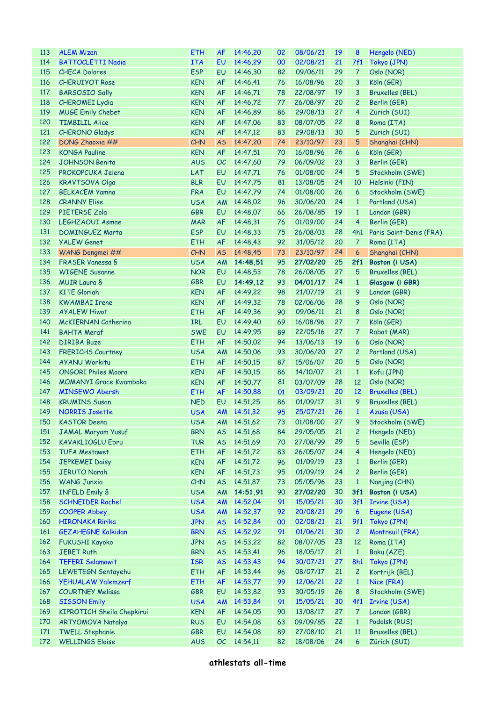| 113 | <b>ALEM Mizan</b>             | <b>ETH</b> | <b>AF</b> | 14:46,20    | 02 | 08/06/21       | 19 | 8                | Hengelo (NED)           |
|-----|-------------------------------|------------|-----------|-------------|----|----------------|----|------------------|-------------------------|
| 114 | <b>BATTOCLETTI Nadia</b>      | <b>ITA</b> | <b>EU</b> | 14:46,29    | 00 | 02/08/21       | 21 | 7f1              | Tokyo (JPN)             |
| 115 | <b>CHECA Dolores</b>          | <b>ESP</b> | <b>EU</b> | 14:46,30    | 82 | 09/06/11       | 29 | $\overline{7}$   | Oslo (NOR)              |
| 116 | <b>CHERUIYOT Rose</b>         | <b>KEN</b> | <b>AF</b> | 14:46,41    | 76 | 16/08/96       | 20 | 3                | Köln (GER)              |
| 117 | <b>BARSOSIO Sally</b>         | <b>KEN</b> | <b>AF</b> | 14:46,71    | 78 | 22/08/97       | 19 | 3                | <b>Bruxelles (BEL)</b>  |
| 118 | <b>CHEROMEI Lydia</b>         | <b>KEN</b> | <b>AF</b> | 14:46,72    | 77 | 26/08/97       | 20 | $\overline{c}$   | Berlin (GER)            |
| 119 | <b>MUGE Emily Chebet</b>      | <b>KEN</b> | <b>AF</b> | 14:46,89    | 86 | 29/08/13       | 27 | 4                | Zürich (SUI)            |
| 120 | <b>TIMBILIL Alice</b>         | <b>KEN</b> | <b>AF</b> | 14:47,06    | 83 | 08/07/05       | 22 | 8                | Roma (ITA)              |
| 121 | <b>CHERONO Gladys</b>         | <b>KEN</b> | <b>AF</b> | 14:47,12    | 83 | 29/08/13       | 30 | 5                | Zürich (SUI)            |
| 122 | DONG Zhaoxia ##               | <b>CHN</b> | <b>AS</b> | 14:47,20    | 74 | 23/10/97       | 23 | 5                | Shanghai (CHN)          |
| 123 | <b>KONGA Pauline</b>          | <b>KEN</b> | <b>AF</b> | 14:47,51    | 70 | 16/08/96       | 26 | 6                | Köln (GER)              |
| 124 | <b>JOHNSON Benita</b>         | <b>AUS</b> | OC        | 14:47,60    | 79 | 06/09/02       | 23 | 3                | Berlin (GER)            |
| 125 | PROKOPCUKA Jelena             | LAT        | <b>EU</b> | 14:47,71    | 76 | 01/08/00       | 24 | 5                | Stockholm (SWE)         |
| 126 | <b>KRAVTSOVA Olga</b>         | <b>BLR</b> | <b>EU</b> | 14:47,75    | 81 | 13/08/05       | 24 | 10               | Helsinki (FIN)          |
| 127 | <b>BELKACEM Yamna</b>         | <b>FRA</b> | <b>EU</b> | 14:47,79    | 74 | 01/08/00       | 26 | 6                | Stockholm (SWE)         |
| 128 | <b>CRANNY Elise</b>           | <b>USA</b> | AM        | 14:48,02    | 96 | 30/06/20       | 24 | $\mathbf{1}$     | Portland (USA)          |
| 129 | <b>PIETERSE Zola</b>          | <b>GBR</b> | <b>EU</b> | 14:48.07    | 66 | 26/08/85       | 19 | $\mathbf{1}$     | London (GBR)            |
| 130 | <b>LEGHZAOUI Asmae</b>        | <b>MAR</b> | AF        | 14:48,31    | 76 | 01/09/00       | 24 | 4                | Berlin (GER)            |
| 131 | <b>DOMINGUEZ Marta</b>        | <b>ESP</b> | <b>EU</b> | 14:48,33    | 75 | 26/08/03       | 28 | 4h1              | Paris Saint-Denis (FRA) |
| 132 | <b>YALEW Genet</b>            | <b>ETH</b> | AF        | 14:48,43    | 92 | 31/05/12       | 20 | $\overline{7}$   | Roma (ITA)              |
| 133 | WANG Dongmei ##               | <b>CHN</b> | <b>AS</b> | 14:48,45    | 73 | 23/10/97       | 24 | 6                | Shanghai (CHN)          |
| 134 | <b>FRASER Vanessa S</b>       | <b>USA</b> | AM        | 14:48,51    | 95 | 27/02/20       | 25 | 2f1              | Boston (i USA)          |
| 135 | <b>WIGENE Susanne</b>         | <b>NOR</b> | <b>EU</b> | 14:48,53    | 78 | 26/08/05       | 27 | 5                | <b>Bruxelles (BEL)</b>  |
| 136 | <b>MUIR Laura S</b>           | <b>GBR</b> | <b>EU</b> | 14:49.12    | 93 | 04/01/17       | 24 | $\mathbf{1}$     | Glasgow (i GBR)         |
| 137 | <b>KITE</b> Gloriah           | <b>KEN</b> | <b>AF</b> |             | 98 | 21/07/19       | 21 |                  |                         |
|     |                               |            |           | 14:49,22    |    |                |    | 9                | London (GBR)            |
| 138 | <b>KWAMBAI Irene</b>          | <b>KEN</b> | <b>AF</b> | 14:49,32    | 78 | 02/06/06       | 28 | 9                | Oslo (NOR)              |
| 139 | <b>AYALEW Hiwot</b>           | <b>ETH</b> | <b>AF</b> | 14:49,36    | 90 | 09/06/11       | 21 | 8                | Oslo (NOR)              |
| 140 | <b>McKIERNAN Catherina</b>    | <b>IRL</b> | EU        | 14:49,40    | 69 | 16/08/96       | 27 | $\overline{7}$   | Köln (GER)              |
| 141 | <b>BAHTA Meraf</b>            | <b>SWE</b> | EU        | 14:49,95    | 89 | 22/05/16       | 27 | $\overline{7}$   | Rabat (MAR)             |
| 142 | <b>DIRIBA Buze</b>            | <b>ETH</b> | <b>AF</b> | 14:50,02    | 94 | 13/06/13       | 19 | 6                | Oslo (NOR)              |
| 143 | <b>FRERICHS Courtney</b>      | <b>USA</b> | AM        | 14:50,06    | 93 | 30/06/20       | 27 | $\overline{c}$   | Portland (USA)          |
| 144 | <b>AYANU Workitu</b>          | <b>ETH</b> | <b>AF</b> | 14:50,15    | 87 | 15/06/07       | 20 | 5                | Oslo (NOR)              |
| 145 | <b>ONGORI Philes Moora</b>    | <b>KEN</b> | <b>AF</b> | 14:50,15    | 86 | 14/10/07       | 21 | $\mathbf{1}$     | Kofu (JPN)              |
| 146 | <b>MOMANYI Grace Kwamboka</b> | <b>KEN</b> | <b>AF</b> | 14:50,77    | 81 | 03/07/09       | 28 | 12               | Oslo (NOR)              |
| 147 | <b>MINSEWO Abersh</b>         | <b>ETH</b> | AF        | 14:50,88    | 01 | 03/09/21       | 20 | 12               | <b>Bruxelles (BEL)</b>  |
| 148 | <b>KRUMINS Susan</b>          | <b>NED</b> | <b>EU</b> | 14:51,25    | 86 | 01/09/17       | 31 | 9                | <b>Bruxelles (BEL)</b>  |
| 149 | <b>NORRIS Josette</b>         | <b>USA</b> |           | AM 14:51,32 | 95 | 25/07/21       | 26 | $\mathbf{1}$     | Azusa (USA)             |
|     | 150 KASTOR Deena              | <b>USA</b> |           | AM 14:51,62 |    | 73 01/08/00 27 |    |                  | 9 Stockholm (SWE)       |
| 151 | JAMAL Maryam Yusuf            | <b>BRN</b> | <b>AS</b> | 14:51,68    | 84 | 29/05/05       | 21 | $\overline{c}$   | Hengelo (NED)           |
| 152 | <b>KAVAKLIOGLU Ebru</b>       | <b>TUR</b> | <b>AS</b> | 14:51,69    | 70 | 27/08/99       | 29 | 5                | Sevilla (ESP)           |
| 153 | <b>TUFA Mestawet</b>          | <b>ETH</b> | AF        | 14:51,72    | 83 | 26/05/07       | 24 | 4                | Hengelo (NED)           |
| 154 | <b>JEPKEMEI Daisy</b>         | <b>KEN</b> | AF        | 14:51,72    | 96 | 01/09/19       | 23 | $\mathbf{1}$     | Berlin (GER)            |
| 155 | <b>JERUTO Norah</b>           | <b>KEN</b> | AF        | 14:51,73    | 95 | 01/09/19       | 24 | $\overline{c}$   | Berlin (GER)            |
| 156 | <b>WANG Junxia</b>            | CHN        | <b>AS</b> | 14:51,87    | 73 | 05/05/96       | 23 | $\mathbf{1}$     | Nanjing (CHN)           |
| 157 | <b>INFELD Emily S</b>         | <b>USA</b> | AM        | 14:51,91    | 90 | 27/02/20       | 30 | 3f1              | Boston (i USA)          |
| 158 | <b>SCHNEIDER Rachel</b>       | <b>USA</b> | AM        | 14:52,04    | 91 | 15/05/21       | 30 | 3f1              | <b>Irvine (USA)</b>     |
| 159 | <b>COOPER Abbey</b>           | <b>USA</b> | <b>AM</b> | 14:52,37    | 92 | 20/08/21       | 29 | $\boldsymbol{6}$ | Eugene (USA)            |
| 160 | <b>HIRONAKA Ririka</b>        | <b>JPN</b> | <b>AS</b> | 14:52,84    | 00 | 02/08/21       | 21 | 9f1              | Tokyo (JPN)             |
| 161 | <b>GEZAHEGNE Kalkidan</b>     | <b>BRN</b> | <b>AS</b> | 14:52,92    | 91 | 01/06/21       | 30 | $\overline{c}$   | Montreuil (FRA)         |
| 162 | <b>FUKUSHI Kayoko</b>         | <b>JPN</b> | <b>AS</b> | 14:53,22    | 82 | 08/07/05       | 23 | 12               | Roma (ITA)              |
| 163 | <b>JEBET Ruth</b>             | <b>BRN</b> | <b>AS</b> | 14:53,41    | 96 | 18/05/17       | 21 | $\mathbf{1}$     | Baku (AZE)              |
| 164 | <b>TEFERI Selamawit</b>       | <b>ISR</b> | <b>AS</b> | 14:53,43    | 94 | 30/07/21       | 27 | 8h1              | Tokyo (JPN)             |
| 165 | LEWETEGN Sentayehu            | <b>ETH</b> | AF        | 14:53,44    | 96 | 08/07/17       | 21 | $\overline{c}$   | Kortrijk (BEL)          |
| 166 | YEHUALAW Yalemzerf            | <b>ETH</b> | AF        | 14:53,77    | 99 | 12/06/21       | 22 | $\mathbf{1}$     | Nice (FRA)              |
| 167 | <b>COURTNEY Melissa</b>       | GBR        | EU        | 14:53,82    | 93 | 30/05/19       | 26 | 8                | Stockholm (SWE)         |
| 168 | <b>SISSON Emily</b>           | <b>USA</b> | AM        | 14:53,84    | 91 | 15/05/21       | 30 | 4f1              | <b>Irvine (USA)</b>     |
| 169 | KIPROTICH Sheila Chepkirui    | <b>KEN</b> | <b>AF</b> | 14:54,05    | 90 | 13/08/17       | 27 | $\overline{7}$   | London (GBR)            |
| 170 | <b>ARTYOMOVA Natalya</b>      | <b>RUS</b> | EU        | 14:54,08    | 63 | 09/09/85       | 22 | $\mathbf{1}$     | Podolsk (RUS)           |
| 171 | <b>TWELL Stephanie</b>        | <b>GBR</b> | EU        | 14:54,08    | 89 | 27/08/10       | 21 | 11               | <b>Bruxelles (BEL)</b>  |
| 172 | <b>WELLINGS Eloise</b>        | <b>AUS</b> | OC        | 14:54,11    | 82 | 18/08/06       | 24 | 6                | Zürich (SUI)            |
|     |                               |            |           |             |    |                |    |                  |                         |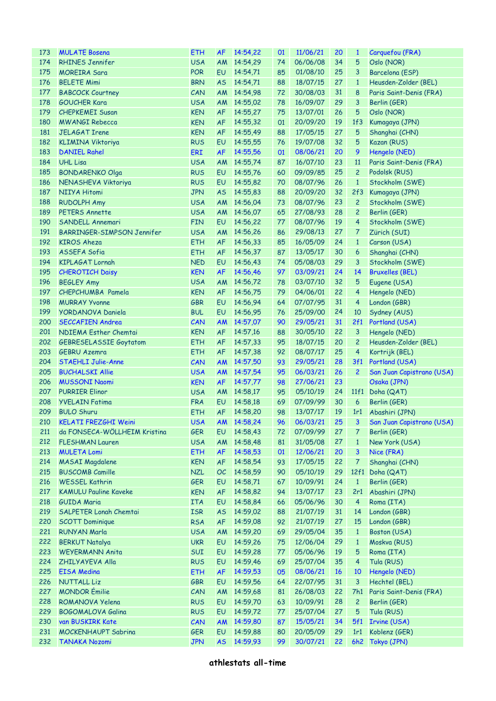| 173 | <b>MULATE Bosena</b>          | <b>ETH</b> | <b>AF</b> | 14:54,22                | 01 | 11/06/21 | 20        | $\mathbf{1}$   | Carquefou (FRA)                |
|-----|-------------------------------|------------|-----------|-------------------------|----|----------|-----------|----------------|--------------------------------|
| 174 | <b>RHINES Jennifer</b>        | <b>USA</b> | AM        | 14:54,29                | 74 | 06/06/08 | 34        | 5              | Oslo (NOR)                     |
| 175 | <b>MOREIRA Sara</b>           | <b>POR</b> | <b>EU</b> | 14:54,71                | 85 | 01/08/10 | 25        | 3              | Barcelona (ESP)                |
| 176 | <b>BELETE Mimi</b>            | <b>BRN</b> | <b>AS</b> | 14:54,71                | 88 | 18/07/15 | 27        | $\mathbf{1}$   | Heusden-Zolder (BEL)           |
| 177 | <b>BABCOCK Courtney</b>       | CAN        | AM        | 14:54,98                | 72 | 30/08/03 | 31        | 8              | Paris Saint-Denis (FRA)        |
| 178 | <b>GOUCHER Kara</b>           | <b>USA</b> | AM        | 14:55,02                | 78 | 16/09/07 | 29        | 3              | Berlin (GER)                   |
| 179 | <b>CHEPKEMEI Susan</b>        | <b>KEN</b> | <b>AF</b> | 14:55,27                | 75 | 13/07/01 | 26        | 5              | Oslo (NOR)                     |
| 180 | <b>MWANGI Rebecca</b>         | <b>KEN</b> | <b>AF</b> | 14:55,32                | 01 | 20/09/20 | 19        | 1f3            | Kumagaya (JPN)                 |
| 181 | <b>JELAGAT Irene</b>          | <b>KEN</b> | <b>AF</b> | 14:55,49                | 88 | 17/05/15 | 27        | 5              | Shanghai (CHN)                 |
| 182 | <b>KLIMINA Viktoriya</b>      | <b>RUS</b> | EU        | 14:55,55                | 76 | 19/07/08 | 32        | 5              | Kazan (RUS)                    |
| 183 | <b>DANIEL Rahel</b>           | ERI        | <b>AF</b> | 14:55,56                | 01 | 08/06/21 | 20        | 9              | Hengelo (NED)                  |
| 184 |                               |            |           |                         |    |          | 23        | 11             |                                |
|     | <b>UHL Lisa</b>               | <b>USA</b> | AM        | 14:55,74                | 87 | 16/07/10 |           |                | Paris Saint-Denis (FRA)        |
| 185 | <b>BONDARENKO Olga</b>        | <b>RUS</b> | EU        | 14:55,76                | 60 | 09/09/85 | 25        | $\overline{c}$ | Podolsk (RUS)                  |
| 186 | NENASHEVA Viktoriya           | <b>RUS</b> | EU        | 14:55,82                | 70 | 08/07/96 | 26        | $\mathbf{1}$   | Stockholm (SWE)                |
| 187 | NIIYA Hitomi                  | <b>JPN</b> | <b>AS</b> | 14:55,83                | 88 | 20/09/20 | 32        | 2f3            | Kumagaya (JPN)                 |
| 188 | <b>RUDOLPH Amy</b>            | <b>USA</b> | AM        | 14:56,04                | 73 | 08/07/96 | 23        | $\overline{c}$ | Stockholm (SWE)                |
| 189 | <b>PETERS Annette</b>         | <b>USA</b> | AM        | 14:56,07                | 65 | 27/08/93 | 28        | $\overline{c}$ | Berlin (GER)                   |
| 190 | SANDELL Annemari              | <b>FIN</b> | EU        | 14:56,22                | 77 | 08/07/96 | 19        | 4              | Stockholm (SWE)                |
| 191 | BARRINGER-SIMPSON Jennifer    | <b>USA</b> | AM        | 14:56,26                | 86 | 29/08/13 | 27        | 7              | Zürich (SUI)                   |
| 192 | <b>KIROS Aheza</b>            | <b>ETH</b> | <b>AF</b> | 14:56,33                | 85 | 16/05/09 | 24        | $\mathbf{1}$   | Carson (USA)                   |
| 193 | ASSEFA Sofia                  | <b>ETH</b> | <b>AF</b> | 14:56,37                | 87 | 13/05/17 | 30        | 6              | Shanghai (CHN)                 |
| 194 | <b>KIPLAGAT Lornah</b>        | <b>NED</b> | EU        | 14:56,43                | 74 | 05/08/03 | 29        | 3              | Stockholm (SWE)                |
| 195 | <b>CHEROTICH Daisy</b>        | <b>KEN</b> | <b>AF</b> | 14:56.46                | 97 | 03/09/21 | 24        | 14             | <b>Bruxelles (BEL)</b>         |
| 196 | <b>BEGLEY Amy</b>             | <b>USA</b> | AM        | 14:56,72                | 78 | 03/07/10 | 32        | 5              | Eugene (USA)                   |
| 197 | CHEPCHUMBA Pamela             | <b>KEN</b> | <b>AF</b> | 14:56,75                | 79 | 04/06/01 | 22        | 4              | Hengelo (NED)                  |
| 198 | <b>MURRAY Yvonne</b>          | <b>GBR</b> | EU        | 14:56,94                | 64 | 07/07/95 | 31        | 4              | London (GBR)                   |
| 199 | <b>YORDANOVA Daniela</b>      | <b>BUL</b> | EU        | 14:56,95                | 76 | 25/09/00 | 24        | 10             | Sydney (AUS)                   |
| 200 | <b>SECCAFIEN Andrea</b>       | CAN        | AM        | 14:57,07                | 90 | 29/05/21 | 31        |                | 2f1 Portland (USA)             |
| 201 | NDIEMA Esther Chemtai         | <b>KEN</b> | <b>AF</b> | 14:57,16                | 88 | 30/05/10 | 22        | 3              | Hengelo (NED)                  |
| 202 | <b>GEBRESELASSIE Goytatom</b> | <b>ETH</b> | <b>AF</b> | 14:57,33                | 95 | 18/07/15 | 20        | $\overline{c}$ | Heusden-Zolder (BEL)           |
| 203 | <b>GEBRU Azemra</b>           | <b>ETH</b> | <b>AF</b> | 14:57,38                | 92 | 08/07/17 | 25        | 4              | Kortrijk (BEL)                 |
| 204 | <b>STAEHLI Julie-Anne</b>     | CAN        | <b>AM</b> | 14:57,50                | 93 | 29/05/21 | 28        |                | 3f1 Portland (USA)             |
| 205 | <b>BUCHALSKI Allie</b>        | <b>USA</b> | <b>AM</b> | 14:57,54                | 95 | 06/03/21 | 26        | $\overline{c}$ | San Juan Capistrano (USA)      |
| 206 | <b>MUSSONI Naomi</b>          | <b>KEN</b> | <b>AF</b> | 14:57,77                | 98 | 27/06/21 | 23        |                | Osaka (JPN)                    |
| 207 | <b>PURRIER Elinor</b>         | <b>USA</b> | <b>AM</b> | 14:58,17                | 95 | 05/10/19 | 24        |                | 11f1 Doha (QAT)                |
| 208 | <b>YVELAIN Fatima</b>         | <b>FRA</b> | EU        | 14:58,18                | 69 | 07/09/99 | 30        | 6              | Berlin (GER)                   |
| 209 | <b>BULO Shuru</b>             | <b>ETH</b> | <b>AF</b> | 14:58,20                | 98 | 13/07/17 | 19        |                | 1r1 Abashiri (JPN)             |
|     | 210 KELATI FREZGHI Weini      | <b>USA</b> |           | AM 14:58,24 96 06/03/21 |    |          |           |                | 25 3 San Juan Capistrano (USA) |
| 211 | da FONSECA-WÖLLHEIM Kristina  | <b>GER</b> | EU        | 14:58,43                |    | 07/09/99 | 27        | 7              |                                |
|     |                               |            |           |                         | 72 |          |           |                | Berlin (GER)                   |
| 212 | <b>FLESHMAN Lauren</b>        | <b>USA</b> | AM        | 14:58,48                | 81 | 31/05/08 | 27        | $\mathbf{1}$   | New York (USA)                 |
| 213 | <b>MULETA Lomi</b>            | <b>ETH</b> | <b>AF</b> | 14:58,53                | 01 | 12/06/21 | 20        | 3              | Nice (FRA)                     |
| 214 | <b>MASAI Magdalene</b>        | <b>KEN</b> | <b>AF</b> | 14:58,54                | 93 | 17/05/15 | 22        | 7              | Shanghai (CHN)                 |
| 215 | <b>BUSCOMB Camille</b>        | <b>NZL</b> | OC        | 14:58,59                | 90 | 05/10/19 | 29        |                | 12f1 Doha (QAT)                |
| 216 | <b>WESSEL Kathrin</b>         | <b>GER</b> | EU        | 14:58,71                | 67 | 10/09/91 | 24        | $\mathbf{1}$   | Berlin (GER)                   |
| 217 | <b>KAMULU Pauline Kaveke</b>  | <b>KEN</b> | AF        | 14:58,82                | 94 | 13/07/17 | 23        | 2r1            | Abashiri (JPN)                 |
| 218 | <b>GUIDA Maria</b>            | <b>ITA</b> | EU        | 14:58,84                | 66 | 05/06/96 | 30        | 4              | Roma (ITA)                     |
| 219 | <b>SALPETER Lonah Chemtai</b> | <b>ISR</b> | <b>AS</b> | 14:59,02                | 88 | 21/07/19 | 31        | 14             | London (GBR)                   |
| 220 | <b>SCOTT Dominique</b>        | <b>RSA</b> | AF        | 14:59,08                | 92 | 21/07/19 | 27        | 15             | London (GBR)                   |
| 221 | <b>RUNYAN Marla</b>           | <b>USA</b> | <b>AM</b> | 14:59,20                | 69 | 29/05/04 | 35        | $\mathbf{1}$   | Boston (USA)                   |
| 222 | <b>BERKUT Natalya</b>         | <b>UKR</b> | EU        | 14:59,26                | 75 | 12/06/04 | 29        | $\mathbf{1}$   | Moskva (RUS)                   |
| 223 | <b>WEYERMANN Anita</b>        | SUI        | EU        | 14:59,28                | 77 | 05/06/96 | 19        | 5              | Roma (ITA)                     |
| 224 | ZHILYAYEVA Alla               | <b>RUS</b> | EU        | 14:59,46                | 69 | 25/07/04 | 35        | $\overline{4}$ | Tula (RUS)                     |
| 225 | <b>EISA Medina</b>            | <b>ETH</b> | <b>AF</b> | 14:59,53                | 05 | 08/06/21 | <b>16</b> | 10             | Hengelo (NED)                  |
| 226 | <b>NUTTALL Liz</b>            | <b>GBR</b> | EU        | 14:59,56                | 64 | 22/07/95 | 31        | 3              | Hechtel (BEL)                  |
| 227 | <b>MONDOR</b> Émilie          | CAN        | <b>AM</b> | 14:59,68                | 81 | 26/08/03 | 22        | 7h1            | Paris Saint-Denis (FRA)        |
| 228 | ROMANOVA Yelena               | <b>RUS</b> | EU        | 14:59,70                | 63 | 10/09/91 | 28        | $\overline{c}$ | Berlin (GER)                   |
| 229 | <b>BOGOMALOVA Galina</b>      | <b>RUS</b> | EU        | 14:59,72                | 77 | 25/07/04 | 27        | 5              | Tula (RUS)                     |
| 230 | van BUSKIRK Kate              | CAN        | <b>AM</b> | 14:59,80                | 87 | 15/05/21 | 34        | 5f1            | <b>Irvine (USA)</b>            |
| 231 | <b>MOCKENHAUPT Sabrina</b>    | <b>GER</b> | EU        | 14:59,88                | 80 | 20/05/09 | 29        | 1r1            | Koblenz (GER)                  |
| 232 | <b>TANAKA Nozomi</b>          | <b>JPN</b> | <b>AS</b> | 14:59,93                | 99 | 30/07/21 | 22        |                | 6h2 Tokyo (JPN)                |
|     |                               |            |           |                         |    |          |           |                |                                |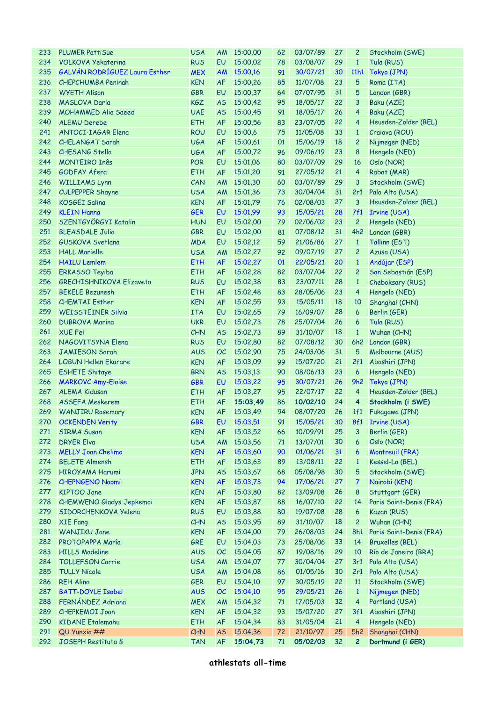| 233 | <b>PLUMER PattiSue</b>          | <b>USA</b> | <b>AM</b> | 15:00,00       | 62 | 03/07/89    | 27 | $\overline{c}$          | Stockholm (SWE)         |
|-----|---------------------------------|------------|-----------|----------------|----|-------------|----|-------------------------|-------------------------|
| 234 | <b>VOLKOVA Yekaterina</b>       | <b>RUS</b> | EU        | 15:00,02       | 78 | 03/08/07    | 29 | $\mathbf{1}$            | Tula (RUS)              |
| 235 | GALVÁN RODRÍGUEZ Laura Esther   | <b>MEX</b> | <b>AM</b> | 15:00,16       | 91 | 30/07/21    | 30 | 11h1                    | Tokyo (JPN)             |
| 236 | <b>CHEPCHUMBA Peningh</b>       | <b>KEN</b> | AF        | 15:00,26       | 85 | 11/07/08    | 23 | 5                       | Roma (ITA)              |
| 237 | <b>WYETH Alison</b>             | <b>GBR</b> | EU        | 15:00,37       | 64 | 07/07/95    | 31 | 5                       | London (GBR)            |
| 238 | <b>MASLOVA Daria</b>            | KGZ        | <b>AS</b> | 15:00,42       | 95 | 18/05/17    | 22 | 3                       | Baku (AZE)              |
| 239 | <b>MOHAMMED Alia Saeed</b>      | <b>UAE</b> | <b>AS</b> | 15:00,45       | 91 | 18/05/17    | 26 | 4                       | Baku (AZE)              |
| 240 | <b>ALEMU Derebe</b>             | <b>ETH</b> | AF        | 15:00,56       | 83 | 23/07/05    | 22 | 4                       | Heusden-Zolder (BEL)    |
| 241 | <b>ANTOCI-IAGAR Elena</b>       | <b>ROU</b> | EU        | 15:00,6        | 75 | 11/05/08    | 33 | $\mathbf{1}$            | Craiova (ROU)           |
| 242 | <b>CHELANGAT Sarah</b>          | <b>UGA</b> | AF        | 15:00,61       | 01 | 15/06/19    | 18 | 2                       | Nijmegen (NED)          |
| 243 | CHESANG Stella                  | <b>UGA</b> | AF        | 15:00.72       | 96 | 09/06/19    | 23 | 8                       | Hengelo (NED)           |
| 244 | <b>MONTEIRO Inês</b>            | <b>POR</b> | EU        | 15:01.06       | 80 | 03/07/09    | 29 | 16                      | Oslo (NOR)              |
| 245 | <b>GODFAY Afera</b>             | <b>ETH</b> | AF        | 15:01,20       | 91 | 27/05/12    | 21 | 4                       | Rabat (MAR)             |
| 246 | <b>WILLIAMS Lynn</b>            | CAN        | AM        | 15:01,30       | 60 | 03/07/89    | 29 | 3                       | Stockholm (SWE)         |
| 247 | <b>CULPEPPER Shayne</b>         | <b>USA</b> | AM        | 15:01,36       | 73 | 30/04/04    | 31 | 2r1                     | Palo Alto (USA)         |
| 248 | <b>KOSGEI Salina</b>            | <b>KEN</b> | <b>AF</b> | 15:01,79       | 76 | 02/08/03    | 27 | 3                       | Heusden-Zolder (BEL)    |
| 249 | <b>KLEIN Hanna</b>              | <b>GER</b> | EU        | 15:01,99       | 93 | 15/05/21    | 28 | 7f1                     | Irvine (USA)            |
| 250 | SZENTGYÖRGYI Katalin            | <b>HUN</b> | EU        | 15:02,00       | 79 | 02/06/02    | 23 | $\overline{c}$          | Hengelo (NED)           |
| 251 | <b>BLEASDALE Julia</b>          | <b>GBR</b> | EU        | 15:02,00       | 81 | 07/08/12    | 31 | 4h2                     | London (GBR)            |
| 252 | GUSKOVA Svetlana                | <b>MDA</b> | EU        | 15:02.12       | 59 | 21/06/86    | 27 | $\mathbf{1}$            | Tallinn (EST)           |
| 253 | <b>HALL Marielle</b>            | <b>USA</b> | AM        | 15:02,27       | 92 | 09/07/19    | 27 | $\overline{c}$          | Azusa (USA)             |
| 254 | <b>HAILU Lemlem</b>             | <b>ETH</b> | <b>AF</b> | 15:02,27       | 01 | 22/05/21    | 20 | $\mathbf{1}$            | Andújar (ESP)           |
| 255 | <b>ERKASSO Teyiba</b>           | <b>ETH</b> | <b>AF</b> | 15:02,28       | 82 | 03/07/04    | 22 | 2                       | San Sebastián (ESP)     |
| 256 | <b>GRECHISHNIKOVA Elizaveta</b> | <b>RUS</b> | EU        | 15:02,38       | 83 | 23/07/11    | 28 | $\mathbf{1}$            |                         |
|     | <b>BEKELE Bezunesh</b>          |            | AF        |                |    |             | 23 |                         | Cheboksary (RUS)        |
| 257 |                                 | <b>ETH</b> |           | 15:02,48       | 83 | 28/05/06    |    | 4                       | Hengelo (NED)           |
| 258 | <b>CHEMTAI Esther</b>           | <b>KEN</b> | AF        | 15:02,55       | 93 | 15/05/11    | 18 | 10                      | Shanghai (CHN)          |
| 259 | <b>WEISSTEINER Silvia</b>       | <b>ITA</b> | EU        | 15:02,65       | 79 | 16/09/07    | 28 | 6                       | Berlin (GER)            |
| 260 | <b>DUBROVA Marina</b>           | <b>UKR</b> | EU        | 15:02,73       | 78 | 25/07/04    | 26 | 6                       | Tula (RUS)              |
| 261 | <b>XUE Fei</b>                  | CHN        | <b>AS</b> | 15:02,73       | 89 | 31/10/07    | 18 | $\mathbf{1}$            | Wuhan (CHN)             |
| 262 | NAGOVITSYNA Elena               | <b>RUS</b> | EU        | 15:02,80       | 82 | 07/08/12    | 30 | 6h2                     | London (GBR)            |
| 263 | <b>JAMIESON Sarah</b>           | <b>AUS</b> | OC        | 15:02,90       | 75 | 24/03/06    | 31 | 5                       | Melbourne (AUS)         |
| 264 | <b>LOBUN Hellen Ekarare</b>     | <b>KEN</b> | AF        | 15:03,09       | 99 | 15/07/20    | 21 | 2f1                     | Abashiri (JPN)          |
| 265 | <b>ESHETE Shitaye</b>           | <b>BRN</b> | <b>AS</b> | 15:03,13       | 90 | 08/06/13    | 23 | 6                       | Hengelo (NED)           |
| 266 | <b>MARKOVC Amy-Eloise</b>       | <b>GBR</b> | EU        | 15:03,22       | 95 | 30/07/21    | 26 | 9h2                     | Tokyo (JPN)             |
| 267 | <b>ALEMA Kidusan</b>            | <b>ETH</b> | AF        | 15:03,27       | 95 | 22/07/17    | 22 | $\overline{4}$          | Heusden-Zolder (BEL)    |
| 268 | <b>ASSEFA Meskerem</b>          | <b>ETH</b> | <b>AF</b> | 15:03,49       | 86 | 10/02/10    | 24 | $\overline{\mathbf{4}}$ | Stockholm (i SWE)       |
| 269 | <b>WANJIRU Rosemary</b>         | <b>KEN</b> | <b>AF</b> | 15:03,49       | 94 | 08/07/20    | 26 |                         | 1f1 Fukagawa (JPN)      |
|     | 270 OCKENDEN Verity             | GBR        |           | EU 15:03,51 91 |    | 15/05/21 30 |    |                         | 8f1 Irvine (USA)        |
| 271 | <b>SIRMA Susan</b>              | <b>KEN</b> | <b>AF</b> | 15:03,52       | 66 | 10/09/91    | 25 | 3                       | Berlin (GER)            |
| 272 | <b>DRYER Elva</b>               | <b>USA</b> | AM        | 15:03,56       | 71 | 13/07/01    | 30 | 6                       | Oslo (NOR)              |
| 273 | <b>MELLY Joan Chelimo</b>       | <b>KEN</b> | <b>AF</b> | 15:03,60       | 90 | 01/06/21    | 31 | 6                       | Montreuil (FRA)         |
| 274 | <b>BELETE Almensh</b>           | <b>ETH</b> | AF        | 15:03,63       | 89 | 13/08/11    | 22 | $\mathbf{1}$            | Kessel-Lo (BEL)         |
| 275 | <b>HIROYAMA Harumi</b>          | <b>JPN</b> | <b>AS</b> | 15:03,67       | 68 | 05/08/98    | 30 | 5                       | Stockholm (SWE)         |
| 276 | <b>CHEPNGENO Naomi</b>          | <b>KEN</b> | <b>AF</b> | 15:03,73       | 94 | 17/06/21    | 27 | 7                       | Nairobi (KEN)           |
| 277 | <b>KIPTOO Jane</b>              | <b>KEN</b> | AF        | 15:03,80       | 82 | 13/09/08    | 26 | 8                       | Stuttgart (GER)         |
| 278 | CHEMWENO Gladys Jepkemoi        | <b>KEN</b> | <b>AF</b> | 15:03,87       | 88 | 16/07/10    | 22 | 14                      | Paris Saint-Denis (FRA) |
| 279 | SIDORCHENKOVA Yelena            | <b>RUS</b> | EU        | 15:03,88       | 80 | 19/07/08    | 28 | 6                       | Kazan (RUS)             |
| 280 | <b>XIE Fang</b>                 | CHN        | <b>AS</b> | 15:03,95       | 89 | 31/10/07    | 18 | $\overline{c}$          | Wuhan (CHN)             |
| 281 | <b>WANJIKU Jane</b>             | <b>KEN</b> | <b>AF</b> | 15:04,00       | 79 | 26/08/03    | 24 | 8h1                     | Paris Saint-Denis (FRA) |
| 282 | PROTOPAPPA María                | GRE        | EU        | 15:04,03       | 73 | 25/08/06    | 33 | 14                      | <b>Bruxelles (BEL)</b>  |
| 283 | <b>HILLS Madeline</b>           | <b>AUS</b> | OC        | 15:04,05       | 87 | 19/08/16    | 29 | 10                      | Río de Janeiro (BRA)    |
| 284 | <b>TOLLEFSON Carrie</b>         | <b>USA</b> | AM        | 15:04,07       | 77 | 30/04/04    | 27 | 3r1                     | Palo Alto (USA)         |
| 285 | <b>TULLY Nicole</b>             | <b>USA</b> | AM        | 15:04,08       | 86 | 01/05/16    | 30 | 2r1                     | Palo Alto (USA)         |
| 286 | <b>REH Alina</b>                | <b>GER</b> | EU        | 15:04,10       | 97 | 30/05/19    | 22 | 11                      | Stockholm (SWE)         |
| 287 | <b>BATT-DOYLE Isobel</b>        | <b>AUS</b> | OC        | 15:04,10       | 95 | 29/05/21    | 26 | $\mathbf{1}$            | Nijmegen (NED)          |
| 288 | FERNÁNDEZ Adriana               | <b>MEX</b> | AM        | 15:04,32       | 71 | 17/05/03    | 32 | 4                       | Portland (USA)          |
| 289 | <b>CHEPKEMOI Joan</b>           | <b>KEN</b> | AF        | 15:04,32       | 93 | 15/07/20    | 27 | 3f1                     | Abashiri (JPN)          |
| 290 | <b>KIDANE Etalemahu</b>         | <b>ETH</b> | <b>AF</b> | 15:04,34       | 83 | 31/05/04    | 21 | 4                       | Hengelo (NED)           |
| 291 | QU Yunxia ##                    | CHN        | <b>AS</b> | 15:04,36       | 72 | 21/10/97    | 25 | 5h2                     | Shanghai (CHN)          |
| 292 | JOSEPH Restituta §              | <b>TAN</b> | <b>AF</b> | 15:04,73       | 71 | 05/02/03    | 32 | 2                       | Dortmund (i GER)        |
|     |                                 |            |           |                |    |             |    |                         |                         |